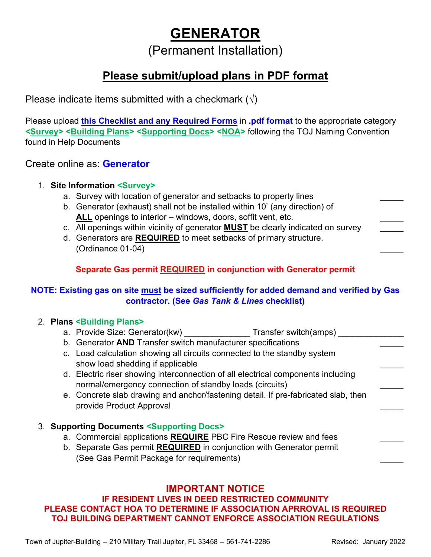# **GENERATOR**

(Permanent Installation)

## **Please submit/upload plans in PDF format**

Please indicate items submitted with a checkmark  $(\sqrt{})$ 

Please upload **this Checklist and any Required Forms** in **.pdf format** to the appropriate category **<Survey> <Building Plans> <Supporting Docs> <NOA>** following the TOJ Naming Convention found in Help Documents

Create online as: **Generator**

- 1. **Site Information <Survey>**
	- a. Survey with location of generator and setbacks to property lines
	- b. Generator (exhaust) shall not be installed within 10' (any direction) of ALL openings to interior – windows, doors, soffit vent, etc.
	- c. All openings within vicinity of generator **MUST** be clearly indicated on survey
	- d. Generators are **REQUIRED** to meet setbacks of primary structure. (Ordinance  $01-04$ )

## **Separate Gas permit REQUIRED in conjunction with Generator permit**

## **NOTE: Existing gas on site must be sized sufficiently for added demand and verified by Gas contractor. (See** *Gas Tank & Lines* **checklist)**

## 2. **Plans <Building Plans>**

- a. Provide Size: Generator(kw) example a Transfer switch(amps)
- b. Generator **AND** Transfer switch manufacturer specifications
- c. Load calculation showing all circuits connected to the standby system show load shedding if applicable
- d. Electric riser showing interconnection of all electrical components including normal/emergency connection of standby loads (circuits) \_\_\_\_\_
- e. Concrete slab drawing and anchor/fastening detail. If pre-fabricated slab, then provide Product Approval

## 3. **Supporting Documents <Supporting Docs>**

- a. Commercial applications **REQUIRE** PBC Fire Rescue review and fees
- b. Separate Gas permit **REQUIRED** in conjunction with Generator permit (See Gas Permit Package for requirements) \_\_\_\_\_

## **IMPORTANT NOTICE**

## **IF RESIDENT LIVES IN DEED RESTRICTED COMMUNITY PLEASE CONTACT HOA TO DETERMINE IF ASSOCIATION APRROVAL IS REQUIRED TOJ BUILDING DEPARTMENT CANNOT ENFORCE ASSOCIATION REGULATIONS**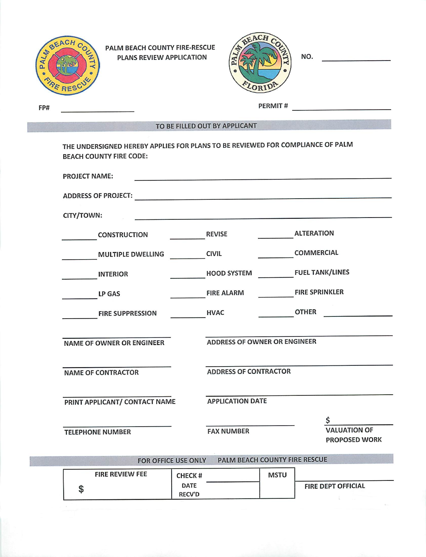

PALM BEACH COUNTY FIRE-RESCUE PLANS REVIEW APPLICATION



NO.

FP#

PERMIT#

TO BE FILLED OUT BY APPLICANT

THE UNDERSIGNED HEREBY APPLIES FOR PLANS TO BE REVIEWED FOR COMPLIANCE OF PALM **BEACH COUNTY FIRE CODE:** 

| <b>PROJECT NAME:</b>             |                               |                                             |
|----------------------------------|-------------------------------|---------------------------------------------|
| <b>ADDRESS OF PROJECT:</b>       |                               |                                             |
| CITY/TOWN:                       |                               |                                             |
| <b>CONSTRUCTION</b>              | <b>REVISE</b>                 | <b>ALTERATION</b>                           |
| MULTIPLE DWELLING                | <b>CIVIL</b>                  | <b>COMMERCIAL</b>                           |
| <b>INTERIOR</b>                  | <b>HOOD SYSTEM</b>            | <b>FUEL TANK/LINES</b>                      |
| LP GAS                           | <b>FIRE ALARM</b>             | <b>FIRE SPRINKLER</b>                       |
| <b>FIRE SUPPRESSION</b>          | <b>HVAC</b>                   | <b>OTHER</b>                                |
|                                  |                               |                                             |
| <b>NAME OF OWNER OR ENGINEER</b> | ADDRESS OF OWNER OR ENGINEER  |                                             |
|                                  |                               |                                             |
| <b>NAME OF CONTRACTOR</b>        | <b>ADDRESS OF CONTRACTOR</b>  |                                             |
|                                  |                               |                                             |
| PRINT APPLICANT/ CONTACT NAME    | <b>APPLICATION DATE</b>       |                                             |
|                                  |                               |                                             |
| <b>TELEPHONE NUMBER</b>          | <b>FAX NUMBER</b>             | <b>VALUATION OF</b><br><b>PROPOSED WORK</b> |
|                                  |                               |                                             |
| FOR OFFICE USE ONLY              | PALM BEACH COUNTY FIRE RESCUE |                                             |
|                                  |                               |                                             |

| <b>FIRE REVIEW FEE</b> | <b>CHECK#</b> | <b>MSTU</b> |                           |
|------------------------|---------------|-------------|---------------------------|
|                        | <b>DATE</b>   |             | <b>FIRE DEPT OFFICIAL</b> |
| ۳D                     | <b>RECV'D</b> |             |                           |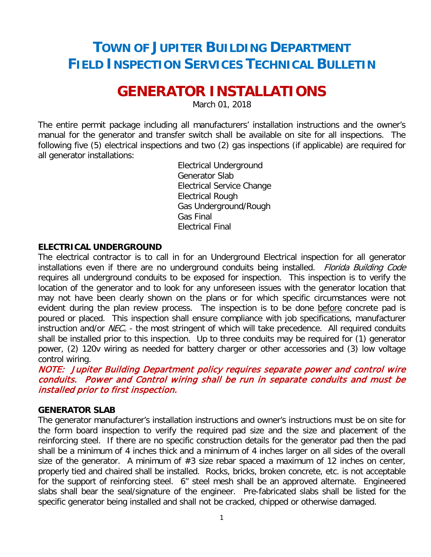# **TOWN OF JUPITER BUILDING DEPARTMENT FIELD INSPECTION SERVICES TECHNICAL BULLETIN**

# **GENERATOR INSTALLATIONS**

March 01, 2018

The entire permit package including all manufacturers' installation instructions and the owner's manual for the generator and transfer switch shall be available on site for all inspections. The following five (5) electrical inspections and two (2) gas inspections (if applicable) are required for all generator installations:

> Electrical Underground Generator Slab Electrical Service Change Electrical Rough Gas Underground/Rough Gas Final Electrical Final

#### **ELECTRICAL UNDERGROUND**

The electrical contractor is to call in for an Underground Electrical inspection for all generator installations even if there are no underground conduits being installed. Florida Building Code requires all underground conduits to be exposed for inspection. This inspection is to verify the location of the generator and to look for any unforeseen issues with the generator location that may not have been clearly shown on the plans or for which specific circumstances were not evident during the plan review process. The inspection is to be done before concrete pad is poured or placed. This inspection shall ensure compliance with job specifications, manufacturer instruction and/or  $NEC<sub>®</sub>$  - the most stringent of which will take precedence. All required conduits shall be installed prior to this inspection. Up to three conduits may be required for (1) generator power, (2) 120v wiring as needed for battery charger or other accessories and (3) low voltage control wiring.

NOTE: Jupiter Building Department policy requires separate power and control wire conduits. Power and Control wiring shall be run in separate conduits and must be installed prior to first inspection.

#### **GENERATOR SLAB**

The generator manufacturer's installation instructions and owner's instructions must be on site for the form board inspection to verify the required pad size and the size and placement of the reinforcing steel. If there are no specific construction details for the generator pad then the pad shall be a minimum of 4 inches thick and a minimum of 4 inches larger on all sides of the overall size of the generator. A minimum of  $#3$  size rebar spaced a maximum of 12 inches on center, properly tied and chaired shall be installed. Rocks, bricks, broken concrete, etc. is not acceptable for the support of reinforcing steel. 6" steel mesh shall be an approved alternate. Engineered slabs shall bear the seal/signature of the engineer. Pre-fabricated slabs shall be listed for the specific generator being installed and shall not be cracked, chipped or otherwise damaged.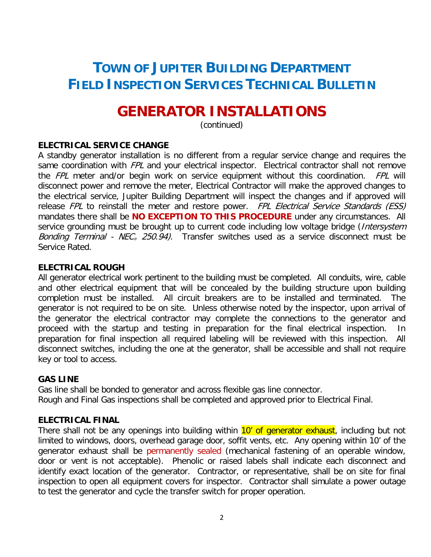# **TOWN OF JUPITER BUILDING DEPARTMENT FIELD INSPECTION SERVICES TECHNICAL BULLETIN**

# **GENERATOR INSTALLATIONS**

(continued)

#### **ELECTRICAL SERVICE CHANGE**

A standby generator installation is no different from a regular service change and requires the same coordination with FPL and your electrical inspector. Electrical contractor shall not remove the FPL meter and/or begin work on service equipment without this coordination. FPL will disconnect power and remove the meter, Electrical Contractor will make the approved changes to the electrical service, Jupiter Building Department will inspect the changes and if approved will release FPL to reinstall the meter and restore power. FPL Electrical Service Standards (ESS) mandates there shall be **NO EXCEPTION TO THIS PROCEDURE** under any circumstances. All service grounding must be brought up to current code including low voltage bridge (Intersystem Bonding Terminal - NEC<sub>®</sub> 250.94). Transfer switches used as a service disconnect must be Service Rated.

#### **ELECTRICAL ROUGH**

All generator electrical work pertinent to the building must be completed. All conduits, wire, cable and other electrical equipment that will be concealed by the building structure upon building completion must be installed. All circuit breakers are to be installed and terminated. The generator is not required to be on site. Unless otherwise noted by the inspector, upon arrival of the generator the electrical contractor may complete the connections to the generator and proceed with the startup and testing in preparation for the final electrical inspection. In preparation for final inspection all required labeling will be reviewed with this inspection. All disconnect switches, including the one at the generator, shall be accessible and shall not require key or tool to access.

#### **GAS LINE**

Gas line shall be bonded to generator and across flexible gas line connector. Rough and Final Gas inspections shall be completed and approved prior to Electrical Final.

#### **ELECTRICAL FINAL**

There shall not be any openings into building within 10' of generator exhaust, including but not limited to windows, doors, overhead garage door, soffit vents, etc. Any opening within 10' of the generator exhaust shall be permanently sealed (mechanical fastening of an operable window, door or vent is not acceptable). Phenolic or raised labels shall indicate each disconnect and identify exact location of the generator. Contractor, or representative, shall be on site for final inspection to open all equipment covers for inspector. Contractor shall simulate a power outage to test the generator and cycle the transfer switch for proper operation.